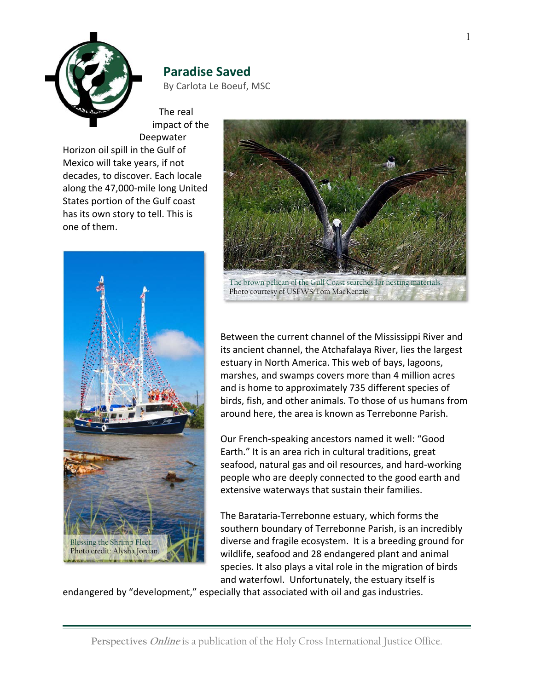

## **Paradise Saved**

By Carlota Le Boeuf, MSC

The real impact of the Deepwater

Horizon oil spill in the Gulf of Mexico will take years, if not decades, to discover. Each locale along the 47,000-mile long United States portion of the Gulf coast has its own story to tell. This is one of them.





Between the current channel of the Mississippi River and its ancient channel, the Atchafalaya River, lies the largest estuary in North America. This web of bays, lagoons, marshes, and swamps covers more than 4 million acres and is home to approximately 735 different species of birds, fish, and other animals. To those of us humans from around here, the area is known as Terrebonne Parish.

Our French-speaking ancestors named it well: "Good Earth." It is an area rich in cultural traditions, great seafood, natural gas and oil resources, and hard-working people who are deeply connected to the good earth and extensive waterways that sustain their families.

The Barataria-Terrebonne estuary, which forms the southern boundary of Terrebonne Parish, is an incredibly diverse and fragile ecosystem. It is a breeding ground for wildlife, seafood and 28 endangered plant and animal species. It also plays a vital role in the migration of birds and waterfowl. Unfortunately, the estuary itself is

endangered by "development," especially that associated with oil and gas industries.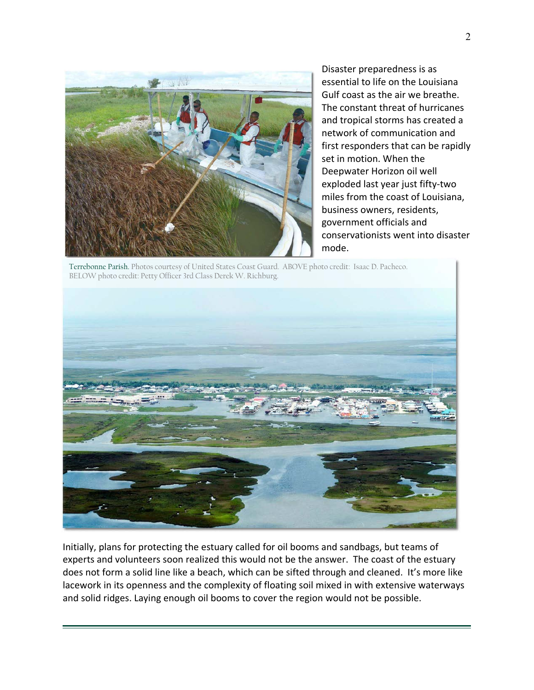

Disaster preparedness is as essential to life on the Louisiana Gulf coast as the air we breathe. The constant threat of hurricanes and tropical storms has created a network of communication and first responders that can be rapidly set in motion. When the Deepwater Horizon oil well exploded last year just fifty-two miles from the coast of Louisiana, business owners, residents, government officials and conservationists went into disaster mode.

Terrebonne Parish. Photos courtesy of United States Coast Guard. ABOVE photo credit: Isaac D. Pacheco. BELOW photo credit: Petty Officer 3rd Class Derek W. Richburg.



Initially, plans for protecting the estuary called for oil booms and sandbags, but teams of experts and volunteers soon realized this would not be the answer. The coast of the estuary does not form a solid line like a beach, which can be sifted through and cleaned. It's more like lacework in its openness and the complexity of floating soil mixed in with extensive waterways and solid ridges. Laying enough oil booms to cover the region would not be possible.